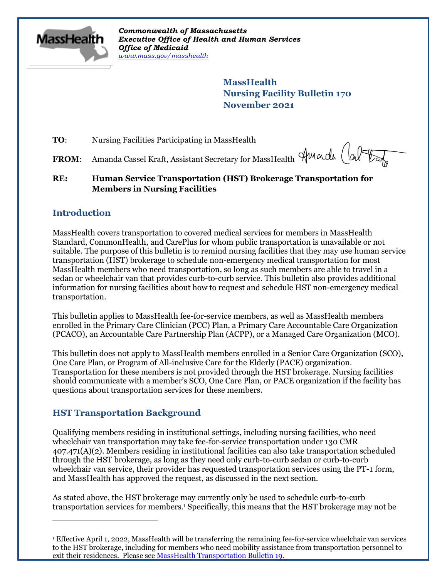

*Commonwealth of Massachusetts Executive Office of Health and Human Services Office of Medicaid [www.mass.gov/masshealth](http://www.mass.gov/masshealth)*

> **MassHealth Nursing Facility Bulletin 170 November 2021**

**TO:** Nursing Facilities Participating in MassHealth

FROM: Amanda Cassel Kraft, Assistant Secretary for MassHealth Amarde (al

### **RE: Human Service Transportation (HST) Brokerage Transportation for Members in Nursing Facilities**

# **Introduction**

MassHealth covers transportation to covered medical services for members in MassHealth Standard, CommonHealth, and CarePlus for whom public transportation is unavailable or not suitable. The purpose of this bulletin is to remind nursing facilities that they may use human service transportation (HST) brokerage to schedule non-emergency medical transportation for most MassHealth members who need transportation, so long as such members are able to travel in a sedan or wheelchair van that provides curb-to-curb service. This bulletin also provides additional information for nursing facilities about how to request and schedule HST non-emergency medical transportation.

This bulletin applies to MassHealth fee-for-service members, as well as MassHealth members enrolled in the Primary Care Clinician (PCC) Plan, a Primary Care Accountable Care Organization (PCACO), an Accountable Care Partnership Plan (ACPP), or a Managed Care Organization (MCO).

This bulletin does not apply to MassHealth members enrolled in a Senior Care Organization (SCO), One Care Plan, or Program of All-inclusive Care for the Elderly (PACE) organization. Transportation for these members is not provided through the HST brokerage. Nursing facilities should communicate with a member's SCO, One Care Plan, or PACE organization if the facility has questions about transportation services for these members.

# **HST Transportation Background**

Qualifying members residing in institutional settings, including nursing facilities, who need wheelchair van transportation may take fee-for-service transportation under 130 CMR 407.471(A)(2). Members residing in institutional facilities can also take transportation scheduled through the HST brokerage, as long as they need only curb-to-curb sedan or curb-to-curb wheelchair van service, their provider has requested transportation services using the PT-1 form, and MassHealth has approved the request, as discussed in the next section.

As stated above, the HST brokerage may currently only be used to schedule curb-to-curb transportation services for members.<sup>1</sup> Specifically, this means that the HST brokerage may not be

<sup>1</sup> Effective April 1, 2022, MassHealth will be transferring the remaining fee-for-service wheelchair van services to the HST brokerage, including for members who need mobility assistance from transportation personnel to exit their residences. Please see [MassHealth Transportation Bulletin 19.](https://www.mass.gov/doc/transportation-bulletin-19-wheelchair-van-transportation-and-brokered-transportation-0/download)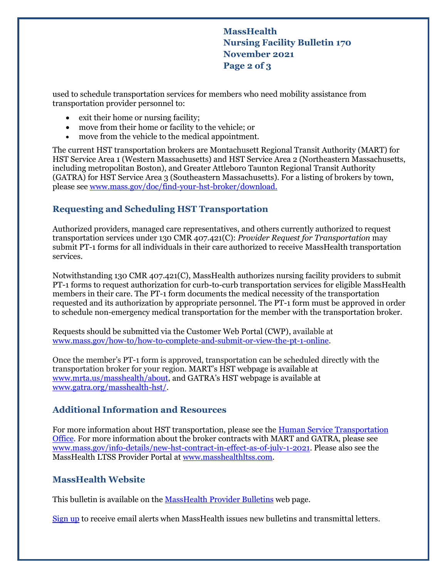**MassHealth Nursing Facility Bulletin 170 November 2021 Page 2 of 3**

used to schedule transportation services for members who need mobility assistance from transportation provider personnel to:

- exit their home or nursing facility;
- move from their home or facility to the vehicle; or
- move from the vehicle to the medical appointment.

The current HST transportation brokers are Montachusett Regional Transit Authority (MART) for HST Service Area 1 (Western Massachusetts) and HST Service Area 2 (Northeastern Massachusetts, including metropolitan Boston), and Greater Attleboro Taunton Regional Transit Authority (GATRA) for HST Service Area 3 (Southeastern Massachusetts). For a listing of brokers by town, please see [www.mass.gov/doc/find-your-hst-broker/download.](http://www.mass.gov/doc/find-your-hst-broker/download)

## **Requesting and Scheduling HST Transportation**

Authorized providers, managed care representatives, and others currently authorized to request transportation services under 130 CMR 407.421(C): *Provider Request for Transportation* may submit PT-1 forms for all individuals in their care authorized to receive MassHealth transportation services.

Notwithstanding 130 CMR 407.421(C), MassHealth authorizes nursing facility providers to submit PT-1 forms to request authorization for curb-to-curb transportation services for eligible MassHealth members in their care. The PT-1 form documents the medical necessity of the transportation requested and its authorization by appropriate personnel. The PT-1 form must be approved in order to schedule non-emergency medical transportation for the member with the transportation broker.

Requests should be submitted via the Customer Web Portal (CWP), available at [www.mass.gov/how-to/how-to-complete-and-submit-or-view-the-pt-1-online.](https://www.mass.gov/how-to/how-to-complete-and-submit-or-view-the-pt-1-online)

Once the member's PT-1 form is approved, transportation can be scheduled directly with the transportation broker for your region. MART's HST webpage is available at [www.mrta.us/masshealth/about](http://www.mrta.us/masshealth/about), and GATRA's HST webpage is available at [www.gatra.org/masshealth-hst/.](http://www.gatra.org/masshealth-hst/)

### **Additional Information and Resources**

For more information about HST transportation, please see the **Human Service Transportation** [Office.](https://www.mass.gov/orgs/human-service-transportation-office) For more information about the broker contracts with MART and GATRA, please see [www.mass.gov/info-details/new-hst-contract-in-effect-as-of-july-1-2021.](http://www.mass.gov/info-details/new-hst-contract-in-effect-as-of-july-1-2021) Please also see the MassHealth LTSS Provider Portal at [www.masshealthltss.com.](http://www.masshealthltss.com/)

# **MassHealth Website**

This bulletin is available on th[e MassHealth Provider Bulletins](http://www.mass.gov/masshealth-provider-bulletins) web page.

[Sign up](https://www.mass.gov/forms/email-notifications-for-provider-bulletins-and-transmittal-letters) to receive email alerts when MassHealth issues new bulletins and transmittal letters.